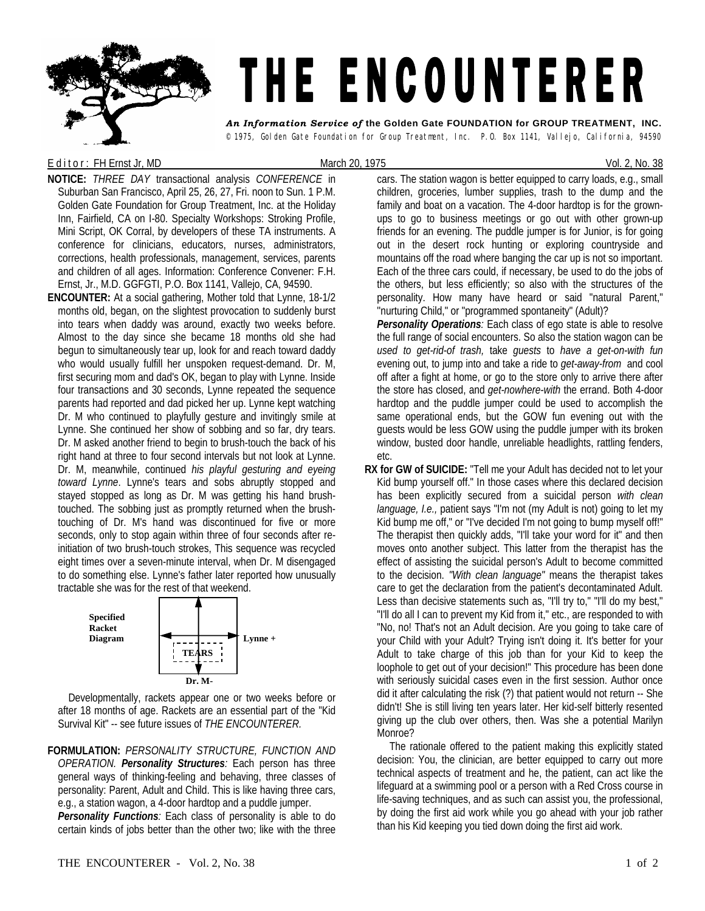

## THE ENCOUNTERER

*An Information Service of* **the Golden Gate FOUNDATION for GROUP TREATMENT, INC.**  © 1975, Golden Gate Foundation for Group Treatment, Inc. P.O. Box 1141, Vallejo, California, 94590

## E d it or : FH Ernst Jr, MD  $\blacksquare$  March 20, 1975 Vol. 2, No. 38

- **NOTICE:** *THREE DAY* transactional analysis *CONFERENCE* in Suburban San Francisco, April 25, 26, 27, Fri. noon to Sun. 1 P.M. Golden Gate Foundation for Group Treatment, Inc. at the Holiday Inn, Fairfield, CA on I-80. Specialty Workshops: Stroking Profile, Mini Script, OK Corral, by developers of these TA instruments. A conference for clinicians, educators, nurses, administrators, corrections, health professionals, management, services, parents and children of all ages. Information: Conference Convener: F.H. Ernst, Jr., M.D. GGFGTI, P.O. Box 1141, Vallejo, CA, 94590.
- **ENCOUNTER:** At a social gathering, Mother told that Lynne, 18-1/2 months old, began, on the slightest provocation to suddenly burst into tears when daddy was around, exactly two weeks before. Almost to the day since she became 18 months old she had begun to simultaneously tear up, look for and reach toward daddy who would usually fulfill her unspoken request-demand. Dr. M, first securing mom and dad's OK, began to play with Lynne. Inside four transactions and 30 seconds, Lynne repeated the sequence parents had reported and dad picked her up. Lynne kept watching Dr. M who continued to playfully gesture and invitingly smile at Lynne. She continued her show of sobbing and so far, dry tears. Dr. M asked another friend to begin to brush-touch the back of his right hand at three to four second intervals but not look at Lynne. Dr. M, meanwhile, continued *his playful gesturing and eyeing toward Lynne*. Lynne's tears and sobs abruptly stopped and stayed stopped as long as Dr. M was getting his hand brushtouched. The sobbing just as promptly returned when the brushtouching of Dr. M's hand was discontinued for five or more seconds, only to stop again within three of four seconds after reinitiation of two brush-touch strokes, This sequence was recycled eight times over a seven-minute interval, when Dr. M disengaged to do something else. Lynne's father later reported how unusually tractable she was for the rest of that weekend.



 Developmentally, rackets appear one or two weeks before or after 18 months of age. Rackets are an essential part of the "Kid Survival Kit" -- see future issues of *THE ENCOUNTERER.* 

**FORMULATION:** *PERSONALITY STRUCTURE, FUNCTION AND OPERATION. Personality Structures:* Each person has three general ways of thinking-feeling and behaving, three classes of personality: Parent, Adult and Child. This is like having three cars, e.g., a station wagon, a 4-door hardtop and a puddle jumper. *Personality Functions:* Each class of personality is able to do certain kinds of jobs better than the other two; like with the three

cars. The station wagon is better equipped to carry loads, e.g., small children, groceries, lumber supplies, trash to the dump and the family and boat on a vacation. The 4-door hardtop is for the grownups to go to business meetings or go out with other grown-up friends for an evening. The puddle jumper is for Junior, is for going out in the desert rock hunting or exploring countryside and mountains off the road where banging the car up is not so important. Each of the three cars could, if necessary, be used to do the jobs of the others, but less efficiently; so also with the structures of the personality. How many have heard or said "natural Parent," ''nurturing Child," or "programmed spontaneity" (Adult)?

*Personality Operations:* Each class of ego state is able to resolve the full range of social encounters. So also the station wagon can be *used to get-rid-of trash,* take *guests* to *have a get-on-with fun*  evening out, to jump into and take a ride to *get-away-from* and cool off after a fight at home, or go to the store only to arrive there after the store has closed, and *get-nowhere-with* the errand. Both 4-door hardtop and the puddle jumper could be used to accomplish the same operational ends, but the GOW fun evening out with the guests would be less GOW using the puddle jumper with its broken window, busted door handle, unreliable headlights, rattling fenders, etc.

**RX for GW of SUICIDE:** "Tell me your Adult has decided not to let your Kid bump yourself off." In those cases where this declared decision has been explicitly secured from a suicidal person *with clean language, I.e.,* patient says "I'm not (my Adult is not) going to let my Kid bump me off," or "I've decided I'm not going to bump myself off!" The therapist then quickly adds, "I'll take your word for it" and then moves onto another subject. This latter from the therapist has the effect of assisting the suicidal person's Adult to become committed to the decision. *"With clean language"* means the therapist takes care to get the declaration from the patient's decontaminated Adult. Less than decisive statements such as, "I'll try to," "I'll do my best," "I'll do all I can to prevent my Kid from it," etc., are responded to with "No, no! That's not an Adult decision. Are you going to take care of your Child with your Adult? Trying isn't doing it. It's better for your Adult to take charge of this job than for your Kid to keep the loophole to get out of your decision!" This procedure has been done with seriously suicidal cases even in the first session. Author once did it after calculating the risk (?) that patient would not return -- She didn't! She is still living ten years later. Her kid-self bitterly resented giving up the club over others, then. Was she a potential Marilyn Monroe?

The rationale offered to the patient making this explicitly stated decision: You, the clinician, are better equipped to carry out more technical aspects of treatment and he, the patient, can act like the lifeguard at a swimming pool or a person with a Red Cross course in life-saving techniques, and as such can assist you, the professional, by doing the first aid work while you go ahead with your job rather than his Kid keeping you tied down doing the first aid work.